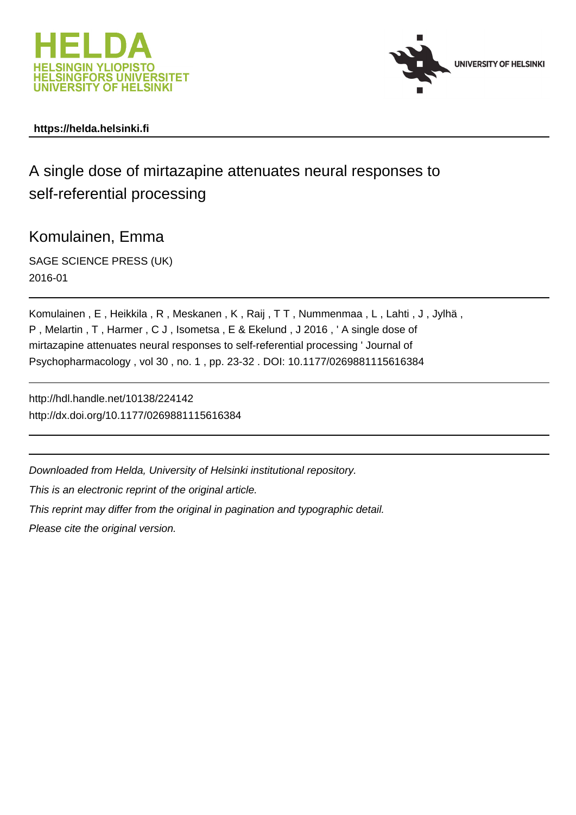



# **https://helda.helsinki.fi**

# A single dose of mirtazapine attenuates neural responses to self-referential processing

Komulainen, Emma

SAGE SCIENCE PRESS (UK) 2016-01

Komulainen, E, Heikkila, R, Meskanen, K, Raij, TT, Nummenmaa, L, Lahti, J, Jylhä, P , Melartin , T , Harmer , C J , Isometsa , E & Ekelund , J 2016 , ' A single dose of mirtazapine attenuates neural responses to self-referential processing ' Journal of Psychopharmacology , vol 30 , no. 1 , pp. 23-32 . DOI: 10.1177/0269881115616384

http://hdl.handle.net/10138/224142 http://dx.doi.org/10.1177/0269881115616384

Downloaded from Helda, University of Helsinki institutional repository.

This is an electronic reprint of the original article.

This reprint may differ from the original in pagination and typographic detail.

Please cite the original version.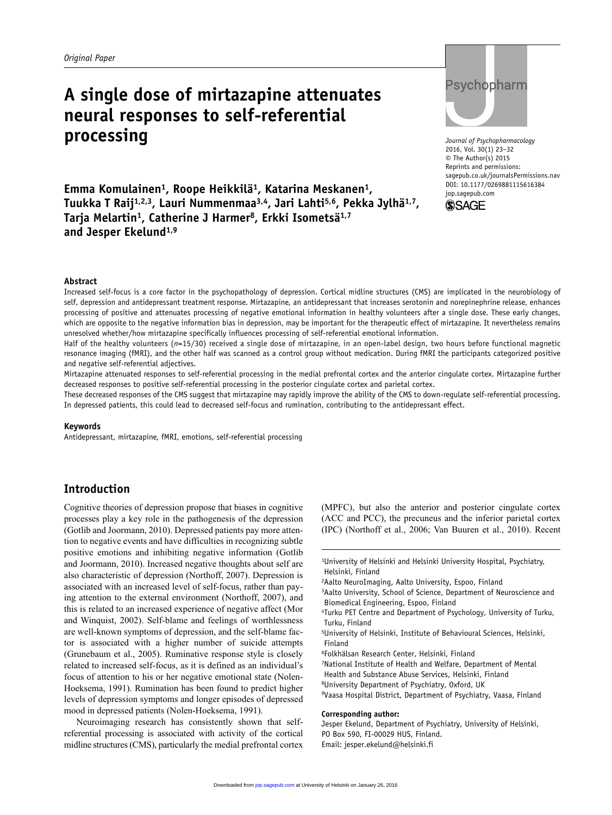# **A single dose of mirtazapine attenuates neural responses to self-referential processing**

# Psychopharm

*Journal of Psychopharmacology* 2016, Vol. 30(1) 23–32 © The Author(s) 2015 Reprints and permissions: sagepub.co.uk/journalsPermissions.nav DOI: 10.1177/0269881115616384 jop.sagepub.com



**Emma Komulainen1, Roope Heikkilä1, Katarina Meskanen1, Tuukka T Raij1,2,3, Lauri Nummenmaa3,4, Jari Lahti5,6, Pekka Jylhä1,7,**  Tarja Melartin<sup>1</sup>, Catherine J Harmer<sup>8</sup>, Erkki Isometsä<sup>1,7</sup> **and Jesper Ekelund1,9**

#### **Abstract**

Increased self-focus is a core factor in the psychopathology of depression. Cortical midline structures (CMS) are implicated in the neurobiology of self, depression and antidepressant treatment response. Mirtazapine, an antidepressant that increases serotonin and norepinephrine release, enhances processing of positive and attenuates processing of negative emotional information in healthy volunteers after a single dose. These early changes, which are opposite to the negative information bias in depression, may be important for the therapeutic effect of mirtazapine. It nevertheless remains unresolved whether/how mirtazapine specifically influences processing of self-referential emotional information.

Half of the healthy volunteers (*n*=15/30) received a single dose of mirtazapine, in an open-label design, two hours before functional magnetic resonance imaging (fMRI), and the other half was scanned as a control group without medication. During fMRI the participants categorized positive and negative self-referential adjectives.

Mirtazapine attenuated responses to self-referential processing in the medial prefrontal cortex and the anterior cingulate cortex. Mirtazapine further decreased responses to positive self-referential processing in the posterior cingulate cortex and parietal cortex.

These decreased responses of the CMS suggest that mirtazapine may rapidly improve the ability of the CMS to down-regulate self-referential processing. In depressed patients, this could lead to decreased self-focus and rumination, contributing to the antidepressant effect.

#### **Keywords**

Antidepressant, mirtazapine, fMRI, emotions, self-referential processing

# **Introduction**

Cognitive theories of depression propose that biases in cognitive processes play a key role in the pathogenesis of the depression (Gotlib and Joormann, 2010). Depressed patients pay more attention to negative events and have difficulties in recognizing subtle positive emotions and inhibiting negative information (Gotlib and Joormann, 2010). Increased negative thoughts about self are also characteristic of depression (Northoff, 2007). Depression is associated with an increased level of self-focus, rather than paying attention to the external environment (Northoff, 2007), and this is related to an increased experience of negative affect (Mor and Winquist, 2002). Self-blame and feelings of worthlessness are well-known symptoms of depression, and the self-blame factor is associated with a higher number of suicide attempts (Grunebaum et al., 2005). Ruminative response style is closely related to increased self-focus, as it is defined as an individual's focus of attention to his or her negative emotional state (Nolen-Hoeksema, 1991). Rumination has been found to predict higher levels of depression symptoms and longer episodes of depressed mood in depressed patients (Nolen-Hoeksema, 1991).

Neuroimaging research has consistently shown that selfreferential processing is associated with activity of the cortical midline structures (CMS), particularly the medial prefrontal cortex

(MPFC), but also the anterior and posterior cingulate cortex (ACC and PCC), the precuneus and the inferior parietal cortex (IPC) (Northoff et al., 2006; Van Buuren et al., 2010). Recent

1University of Helsinki and Helsinki University Hospital, Psychiatry, Helsinki, Finland

2Aalto NeuroImaging, Aalto University, Espoo, Finland

3Aalto University, School of Science, Department of Neuroscience and Biomedical Engineering, Espoo, Finland

4Turku PET Centre and Department of Psychology, University of Turku, Turku, Finland

5University of Helsinki, Institute of Behavioural Sciences, Helsinki, Finland

6Folkhälsan Research Center, Helsinki, Finland

7National Institute of Health and Welfare, Department of Mental Health and Substance Abuse Services, Helsinki, Finland

8University Department of Psychiatry, Oxford, UK

9Vaasa Hospital District, Department of Psychiatry, Vaasa, Finland

#### **Corresponding author:**

Jesper Ekelund, Department of Psychiatry, University of Helsinki, PO Box 590, FI-00029 HUS, Finland. Email: [jesper.ekelund@helsinki.fi](mailto:jesper.ekelund@helsinki.fi)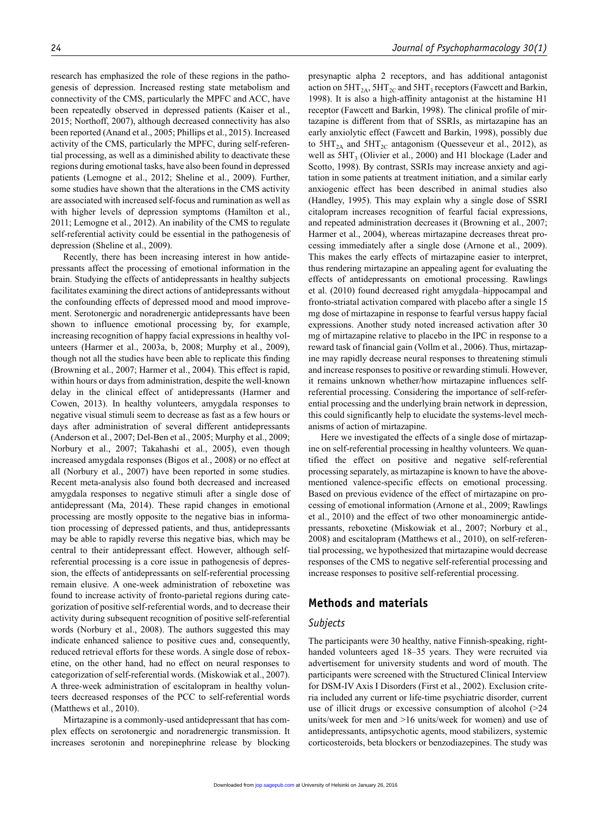research has emphasized the role of these regions in the pathogenesis of depression. Increased resting state metabolism and connectivity of the CMS, particularly the MPFC and ACC, have been repeatedly observed in depressed patients (Kaiser et al., 2015; Northoff, 2007), although decreased connectivity has also been reported (Anand et al., 2005; Phillips et al., 2015). Increased activity of the CMS, particularly the MPFC, during self-referential processing, as well as a diminished ability to deactivate these regions during emotional tasks, have also been found in depressed patients (Lemogne et al., 2012; Sheline et al., 2009). Further, some studies have shown that the alterations in the CMS activity are associated with increased self-focus and rumination as well as with higher levels of depression symptoms (Hamilton et al., 2011; Lemogne et al., 2012). An inability of the CMS to regulate self-referential activity could be essential in the pathogenesis of depression (Sheline et al., 2009).

Recently, there has been increasing interest in how antidepressants affect the processing of emotional information in the brain. Studying the effects of antidepressants in healthy subjects facilitates examining the direct actions of antidepressants without the confounding effects of depressed mood and mood improvement. Serotonergic and noradrenergic antidepressants have been shown to influence emotional processing by, for example, increasing recognition of happy facial expressions in healthy volunteers (Harmer et al., 2003a, b, 2008; Murphy et al., 2009), though not all the studies have been able to replicate this finding (Browning et al., 2007; Harmer et al., 2004). This effect is rapid, within hours or days from administration, despite the well-known delay in the clinical effect of antidepressants (Harmer and Cowen, 2013). In healthy volunteers, amygdala responses to negative visual stimuli seem to decrease as fast as a few hours or days after administration of several different antidepressants (Anderson et al., 2007; Del-Ben et al., 2005; Murphy et al., 2009; Norbury et al., 2007; Takahashi et al., 2005), even though increased amygdala responses (Bigos et al., 2008) or no effect at all (Norbury et al., 2007) have been reported in some studies. Recent meta-analysis also found both decreased and increased amygdala responses to negative stimuli after a single dose of antidepressant (Ma, 2014). These rapid changes in emotional processing are mostly opposite to the negative bias in information processing of depressed patients, and thus, antidepressants may be able to rapidly reverse this negative bias, which may be central to their antidepressant effect. However, although selfreferential processing is a core issue in pathogenesis of depression, the effects of antidepressants on self-referential processing remain elusive. A one-week administration of reboxetine was found to increase activity of fronto-parietal regions during categorization of positive self-referential words, and to decrease their activity during subsequent recognition of positive self-referential words (Norbury et al., 2008). The authors suggested this may indicate enhanced salience to positive cues and, consequently, reduced retrieval efforts for these words. A single dose of reboxetine, on the other hand, had no effect on neural responses to categorization of self-referential words. (Miskowiak et al., 2007). A three-week administration of escitalopram in healthy volunteers decreased responses of the PCC to self-referential words (Matthews et al., 2010).

Mirtazapine is a commonly-used antidepressant that has complex effects on serotonergic and noradrenergic transmission. It increases serotonin and norepinephrine release by blocking presynaptic alpha 2 receptors, and has additional antagonist action on  $5HT_{2A}$ ,  $5HT_{2C}$  and  $5HT_3$  receptors (Fawcett and Barkin, 1998). It is also a high-affinity antagonist at the histamine H1 receptor (Fawcett and Barkin, 1998). The clinical profile of mirtazapine is different from that of SSRIs, as mirtazapine has an early anxiolytic effect (Fawcett and Barkin, 1998), possibly due to  $5HT<sub>2A</sub>$  and  $5HT<sub>2C</sub>$  antagonism (Quesseveur et al., 2012), as well as  $5HT_3$  (Olivier et al., 2000) and H1 blockage (Lader and Scotto, 1998). By contrast, SSRIs may increase anxiety and agitation in some patients at treatment initiation, and a similar early anxiogenic effect has been described in animal studies also (Handley, 1995). This may explain why a single dose of SSRI citalopram increases recognition of fearful facial expressions, and repeated administration decreases it (Browning et al., 2007; Harmer et al., 2004), whereas mirtazapine decreases threat processing immediately after a single dose (Arnone et al., 2009). This makes the early effects of mirtazapine easier to interpret, thus rendering mirtazapine an appealing agent for evaluating the effects of antidepressants on emotional processing. Rawlings et al. (2010) found decreased right amygdala–hippocampal and fronto-striatal activation compared with placebo after a single 15 mg dose of mirtazapine in response to fearful versus happy facial expressions. Another study noted increased activation after 30 mg of mirtazapine relative to placebo in the IPC in response to a reward task of financial gain (Vollm et al., 2006). Thus, mirtazapine may rapidly decrease neural responses to threatening stimuli and increase responses to positive or rewarding stimuli. However, it remains unknown whether/how mirtazapine influences selfreferential processing. Considering the importance of self-referential processing and the underlying brain network in depression, this could significantly help to elucidate the systems-level mechanisms of action of mirtazapine.

Here we investigated the effects of a single dose of mirtazapine on self-referential processing in healthy volunteers. We quantified the effect on positive and negative self-referential processing separately, as mirtazapine is known to have the abovementioned valence-specific effects on emotional processing. Based on previous evidence of the effect of mirtazapine on processing of emotional information (Arnone et al., 2009; Rawlings et al., 2010) and the effect of two other monoaminergic antidepressants, reboxetine (Miskowiak et al., 2007; Norbury et al., 2008) and escitalopram (Matthews et al., 2010), on self-referential processing, we hypothesized that mirtazapine would decrease responses of the CMS to negative self-referential processing and increase responses to positive self-referential processing.

# **Methods and materials**

### *Subjects*

The participants were 30 healthy, native Finnish-speaking, righthanded volunteers aged 18–35 years. They were recruited via advertisement for university students and word of mouth. The participants were screened with the Structured Clinical Interview for DSM-IV Axis I Disorders (First et al., 2002). Exclusion criteria included any current or life-time psychiatric disorder, current use of illicit drugs or excessive consumption of alcohol (>24 units/week for men and >16 units/week for women) and use of antidepressants, antipsychotic agents, mood stabilizers, systemic corticosteroids, beta blockers or benzodiazepines. The study was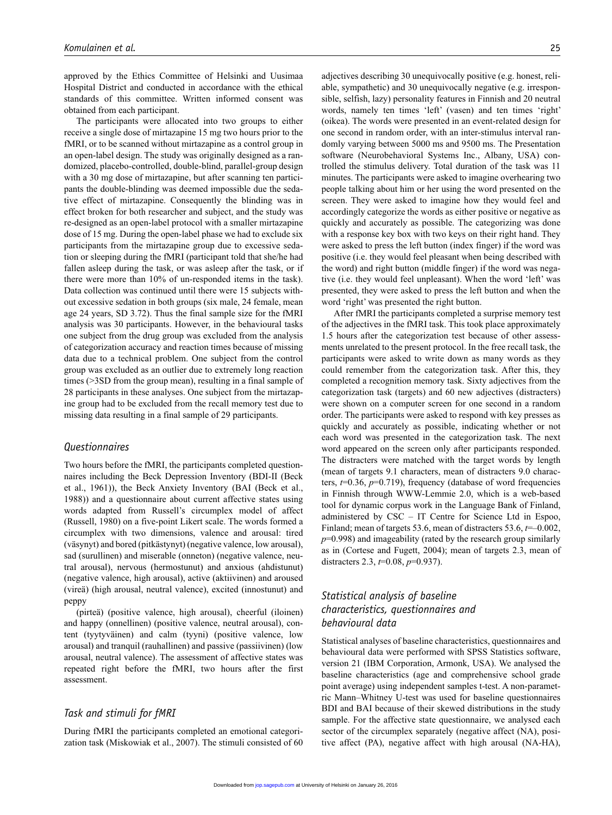approved by the Ethics Committee of Helsinki and Uusimaa Hospital District and conducted in accordance with the ethical standards of this committee. Written informed consent was obtained from each participant.

The participants were allocated into two groups to either receive a single dose of mirtazapine 15 mg two hours prior to the fMRI, or to be scanned without mirtazapine as a control group in an open-label design. The study was originally designed as a randomized, placebo-controlled, double-blind, parallel-group design with a 30 mg dose of mirtazapine, but after scanning ten participants the double-blinding was deemed impossible due the sedative effect of mirtazapine. Consequently the blinding was in effect broken for both researcher and subject, and the study was re-designed as an open-label protocol with a smaller mirtazapine dose of 15 mg. During the open-label phase we had to exclude six participants from the mirtazapine group due to excessive sedation or sleeping during the fMRI (participant told that she/he had fallen asleep during the task, or was asleep after the task, or if there were more than 10% of un-responded items in the task). Data collection was continued until there were 15 subjects without excessive sedation in both groups (six male, 24 female, mean age 24 years, SD 3.72). Thus the final sample size for the fMRI analysis was 30 participants. However, in the behavioural tasks one subject from the drug group was excluded from the analysis of categorization accuracy and reaction times because of missing data due to a technical problem. One subject from the control group was excluded as an outlier due to extremely long reaction times (>3SD from the group mean), resulting in a final sample of 28 participants in these analyses. One subject from the mirtazapine group had to be excluded from the recall memory test due to missing data resulting in a final sample of 29 participants.

#### *Questionnaires*

Two hours before the fMRI, the participants completed questionnaires including the Beck Depression Inventory (BDI-II (Beck et al., 1961)), the Beck Anxiety Inventory (BAI (Beck et al., 1988)) and a questionnaire about current affective states using words adapted from Russell's circumplex model of affect (Russell, 1980) on a five-point Likert scale. The words formed a circumplex with two dimensions, valence and arousal: tired (väsynyt) and bored (pitkästynyt) (negative valence, low arousal), sad (surullinen) and miserable (onneton) (negative valence, neutral arousal), nervous (hermostunut) and anxious (ahdistunut) (negative valence, high arousal), active (aktiivinen) and aroused (vireä) (high arousal, neutral valence), excited (innostunut) and peppy

(pirteä) (positive valence, high arousal), cheerful (iloinen) and happy (onnellinen) (positive valence, neutral arousal), content (tyytyväinen) and calm (tyyni) (positive valence, low arousal) and tranquil (rauhallinen) and passive (passiivinen) (low arousal, neutral valence). The assessment of affective states was repeated right before the fMRI, two hours after the first assessment.

## *Task and stimuli for fMRI*

During fMRI the participants completed an emotional categorization task (Miskowiak et al., 2007). The stimuli consisted of 60 adjectives describing 30 unequivocally positive (e.g. honest, reliable, sympathetic) and 30 unequivocally negative (e.g. irresponsible, selfish, lazy) personality features in Finnish and 20 neutral words, namely ten times 'left' (vasen) and ten times 'right' (oikea). The words were presented in an event-related design for one second in random order, with an inter-stimulus interval randomly varying between 5000 ms and 9500 ms. The Presentation software (Neurobehavioral Systems Inc., Albany, USA) controlled the stimulus delivery. Total duration of the task was 11 minutes. The participants were asked to imagine overhearing two people talking about him or her using the word presented on the screen. They were asked to imagine how they would feel and accordingly categorize the words as either positive or negative as quickly and accurately as possible. The categorizing was done with a response key box with two keys on their right hand. They were asked to press the left button (index finger) if the word was positive (i.e. they would feel pleasant when being described with the word) and right button (middle finger) if the word was negative (i.e. they would feel unpleasant). When the word 'left' was presented, they were asked to press the left button and when the word 'right' was presented the right button.

After fMRI the participants completed a surprise memory test of the adjectives in the fMRI task. This took place approximately 1.5 hours after the categorization test because of other assessments unrelated to the present protocol. In the free recall task, the participants were asked to write down as many words as they could remember from the categorization task. After this, they completed a recognition memory task. Sixty adjectives from the categorization task (targets) and 60 new adjectives (distracters) were shown on a computer screen for one second in a random order. The participants were asked to respond with key presses as quickly and accurately as possible, indicating whether or not each word was presented in the categorization task. The next word appeared on the screen only after participants responded. The distracters were matched with the target words by length (mean of targets 9.1 characters, mean of distracters 9.0 characters,  $t=0.36$ ,  $p=0.719$ ), frequency (database of word frequencies in Finnish through WWW-Lemmie 2.0, which is a web-based tool for dynamic corpus work in the Language Bank of Finland, administered by CSC – IT Centre for Science Ltd in Espoo, Finland; mean of targets 53.6, mean of distracters 53.6,  $t=0.002$ , *p*=0.998) and imageability (rated by the research group similarly as in (Cortese and Fugett, 2004); mean of targets 2.3, mean of distracters 2.3, *t*=0.08, *p*=0.937).

# *Statistical analysis of baseline characteristics, questionnaires and behavioural data*

Statistical analyses of baseline characteristics, questionnaires and behavioural data were performed with SPSS Statistics software, version 21 (IBM Corporation, Armonk, USA). We analysed the baseline characteristics (age and comprehensive school grade point average) using independent samples t-test. A non-parametric Mann–Whitney U-test was used for baseline questionnaires BDI and BAI because of their skewed distributions in the study sample. For the affective state questionnaire, we analysed each sector of the circumplex separately (negative affect (NA), positive affect (PA), negative affect with high arousal (NA-HA),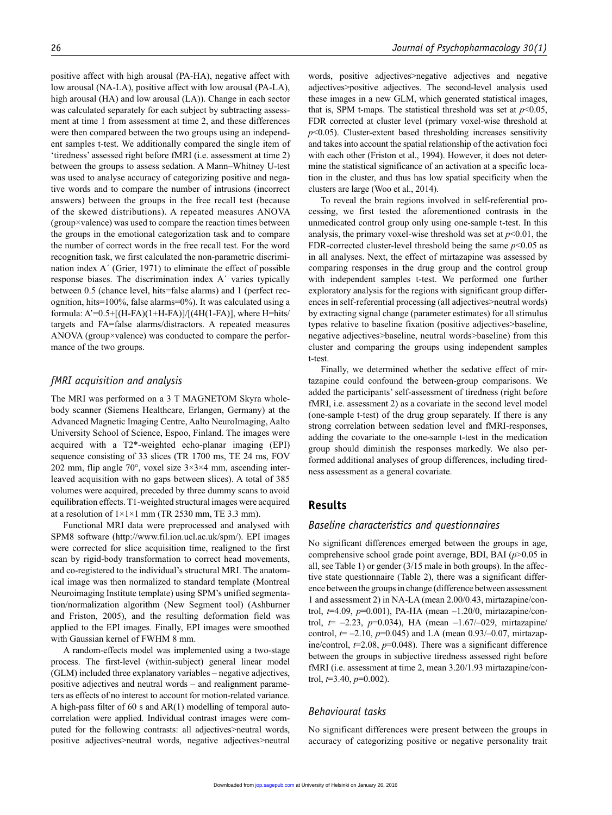positive affect with high arousal (PA-HA), negative affect with low arousal (NA-LA), positive affect with low arousal (PA-LA), high arousal (HA) and low arousal (LA)). Change in each sector was calculated separately for each subject by subtracting assessment at time 1 from assessment at time 2, and these differences were then compared between the two groups using an independent samples t-test. We additionally compared the single item of 'tiredness' assessed right before fMRI (i.e. assessment at time 2) between the groups to assess sedation. A Mann–Whitney U-test was used to analyse accuracy of categorizing positive and negative words and to compare the number of intrusions (incorrect answers) between the groups in the free recall test (because of the skewed distributions). A repeated measures ANOVA (group×valence) was used to compare the reaction times between the groups in the emotional categorization task and to compare the number of correct words in the free recall test. For the word recognition task, we first calculated the non-parametric discrimination index A´ (Grier, 1971) to eliminate the effect of possible response biases. The discrimination index A´ varies typically between 0.5 (chance level, hits=false alarms) and 1 (perfect recognition, hits=100%, false alarms=0%). It was calculated using a formula:  $A^2=0.5+[(H-FA)(1+H-FA)]/[(4H(1-FA)],$  where H=hits/ targets and FA=false alarms/distractors. A repeated measures ANOVA (group×valence) was conducted to compare the performance of the two groups.

## *fMRI acquisition and analysis*

The MRI was performed on a 3 T MAGNETOM Skyra wholebody scanner (Siemens Healthcare, Erlangen, Germany) at the Advanced Magnetic Imaging Centre, Aalto NeuroImaging, Aalto University School of Science, Espoo, Finland. The images were acquired with a T2\*-weighted echo-planar imaging (EPI) sequence consisting of 33 slices (TR 1700 ms, TE 24 ms, FOV 202 mm, flip angle 70°, voxel size 3×3×4 mm, ascending interleaved acquisition with no gaps between slices). A total of 385 volumes were acquired, preceded by three dummy scans to avoid equilibration effects. T1-weighted structural images were acquired at a resolution of  $1 \times 1 \times 1$  mm (TR 2530 mm, TE 3.3 mm).

Functional MRI data were preprocessed and analysed with SPM8 software [\(http://www.fil.ion.ucl.ac.uk/spm/\)](http://www.fil.ion.ucl.ac.uk/spm/). EPI images were corrected for slice acquisition time, realigned to the first scan by rigid-body transformation to correct head movements, and co-registered to the individual's structural MRI. The anatomical image was then normalized to standard template (Montreal Neuroimaging Institute template) using SPM's unified segmentation/normalization algorithm (New Segment tool) (Ashburner and Friston, 2005), and the resulting deformation field was applied to the EPI images. Finally, EPI images were smoothed with Gaussian kernel of FWHM 8 mm.

A random-effects model was implemented using a two-stage process. The first-level (within-subject) general linear model (GLM) included three explanatory variables – negative adjectives, positive adjectives and neutral words – and realignment parameters as effects of no interest to account for motion-related variance. A high-pass filter of 60 s and AR(1) modelling of temporal autocorrelation were applied. Individual contrast images were computed for the following contrasts: all adjectives>neutral words, positive adjectives>neutral words, negative adjectives>neutral words, positive adjectives>negative adjectives and negative adjectives>positive adjectives. The second-level analysis used these images in a new GLM, which generated statistical images, that is, SPM t-maps. The statistical threshold was set at  $p<0.05$ , FDR corrected at cluster level (primary voxel-wise threshold at  $p$ <0.05). Cluster-extent based thresholding increases sensitivity and takes into account the spatial relationship of the activation foci with each other (Friston et al., 1994). However, it does not determine the statistical significance of an activation at a specific location in the cluster, and thus has low spatial specificity when the clusters are large (Woo et al., 2014).

To reveal the brain regions involved in self-referential processing, we first tested the aforementioned contrasts in the unmedicated control group only using one-sample t-test. In this analysis, the primary voxel-wise threshold was set at  $p<0.01$ , the FDR-corrected cluster-level threshold being the same  $p<0.05$  as in all analyses. Next, the effect of mirtazapine was assessed by comparing responses in the drug group and the control group with independent samples t-test. We performed one further exploratory analysis for the regions with significant group differences in self-referential processing (all adjectives>neutral words) by extracting signal change (parameter estimates) for all stimulus types relative to baseline fixation (positive adjectives>baseline, negative adjectives>baseline, neutral words>baseline) from this cluster and comparing the groups using independent samples t-test.

Finally, we determined whether the sedative effect of mirtazapine could confound the between-group comparisons. We added the participants' self-assessment of tiredness (right before fMRI, i.e. assessment 2) as a covariate in the second level model (one-sample t-test) of the drug group separately. If there is any strong correlation between sedation level and fMRI-responses, adding the covariate to the one-sample t-test in the medication group should diminish the responses markedly. We also performed additional analyses of group differences, including tiredness assessment as a general covariate.

# **Results**

#### *Baseline characteristics and questionnaires*

No significant differences emerged between the groups in age, comprehensive school grade point average, BDI, BAI (*p*>0.05 in all, see Table 1) or gender (3/15 male in both groups). In the affective state questionnaire (Table 2), there was a significant difference between the groups in change (difference between assessment 1 and assessment 2) in NA-LA (mean 2.00/0.43, mirtazapine/control, *t*=4.09, *p*=0.001), PA-HA (mean –1.20/0, mirtazapine/control, *t*= –2.23, *p*=0.034), HA (mean –1.67/–029, mirtazapine/ control,  $t = -2.10$ ,  $p=0.045$ ) and LA (mean 0.93/-0.07, mirtazapine/control, *t*=2.08, *p*=0.048). There was a significant difference between the groups in subjective tiredness assessed right before fMRI (i.e. assessment at time 2, mean 3.20/1.93 mirtazapine/control, *t*=3.40, *p*=0.002).

#### *Behavioural tasks*

No significant differences were present between the groups in accuracy of categorizing positive or negative personality trait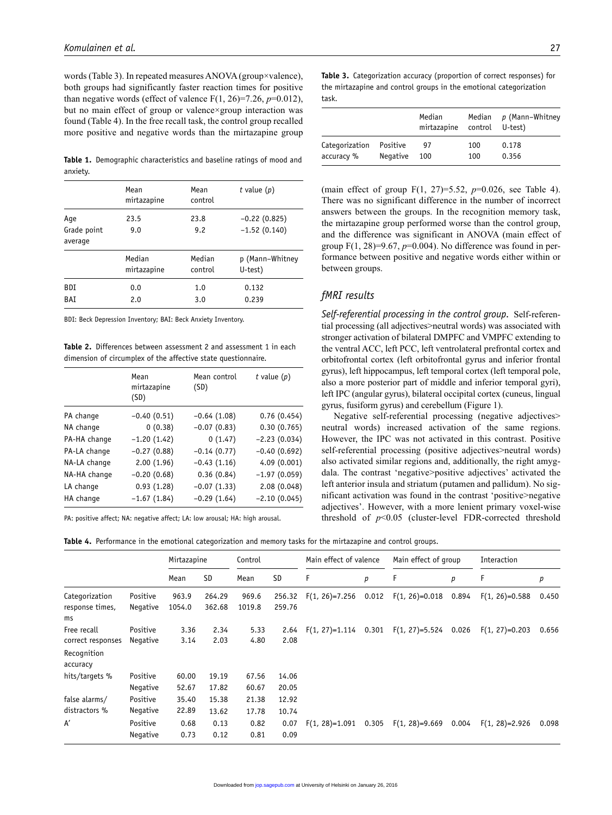words (Table 3). In repeated measures ANOVA (group×valence), both groups had significantly faster reaction times for positive than negative words (effect of valence  $F(1, 26)=7.26$ ,  $p=0.012$ ), but no main effect of group or valence×group interaction was found (Table 4). In the free recall task, the control group recalled more positive and negative words than the mirtazapine group

**Table 1.** Demographic characteristics and baseline ratings of mood and anxiety.

|                               | Mean<br>mirtazapine | Mean<br>control | t value $(p)$                    |
|-------------------------------|---------------------|-----------------|----------------------------------|
| Aqe<br>Grade point<br>average | 23.5<br>9.0         | 23.8<br>9.2     | $-0.22(0.825)$<br>$-1.52(0.140)$ |
|                               | Median              | Median          | p (Mann-Whitney                  |
|                               | mirtazapine         | control         | U-test)                          |
| BDI                           | 0.0                 | 1.0             | 0.132                            |
| BAI                           | 2.0                 | 3.0             | 0.239                            |

BDI: Beck Depression Inventory; BAI: Beck Anxiety Inventory.

**Table 2.** Differences between assessment 2 and assessment 1 in each dimension of circumplex of the affective state questionnaire.

|              | Mean<br>mirtazapine<br>(SD) | Mean control<br>(SD) | t value $(p)$  |
|--------------|-----------------------------|----------------------|----------------|
| PA change    | $-0.40(0.51)$               | $-0.64(1.08)$        | 0.76(0.454)    |
| NA change    | 0(0.38)                     | $-0.07(0.83)$        | 0.30(0.765)    |
| PA-HA change | $-1.20(1.42)$               | 0(1.47)              | $-2.23(0.034)$ |
| PA-LA change | $-0.27(0.88)$               | $-0.14(0.77)$        | $-0.40(0.692)$ |
| NA-LA change | 2.00(1.96)                  | $-0.43(1.16)$        | 4.09(0.001)    |
| NA-HA change | $-0.20(0.68)$               | 0.36(0.84)           | $-1.97(0.059)$ |
| LA change    | 0.93(1.28)                  | $-0.07(1.33)$        | 2.08 (0.048)   |
| HA change    | $-1.67(1.84)$               | $-0.29(1.64)$        | $-2.10(0.045)$ |

PA: positive affect; NA: negative affect; LA: low arousal; HA: high arousal.

**Table 3.** Categorization accuracy (proportion of correct responses) for the mirtazapine and control groups in the emotional categorization task.

|                |          | Median<br>mirtazapine | Median<br>control U-test) | p (Mann-Whitney |
|----------------|----------|-----------------------|---------------------------|-----------------|
| Categorization | Positive | 97                    | 100                       | 0.178           |
| accuracy %     | Negative | 100                   | 100                       | 0.356           |

(main effect of group F(1, 27)=5.52, *p*=0.026, see Table 4). There was no significant difference in the number of incorrect answers between the groups. In the recognition memory task, the mirtazapine group performed worse than the control group, and the difference was significant in ANOVA (main effect of group  $F(1, 28)=9.67$ ,  $p=0.004$ ). No difference was found in performance between positive and negative words either within or between groups.

# *fMRI results*

*Self-referential processing in the control group.* Self-referential processing (all adjectives>neutral words) was associated with stronger activation of bilateral DMPFC and VMPFC extending to the ventral ACC, left PCC, left ventrolateral prefrontal cortex and orbitofrontal cortex (left orbitofrontal gyrus and inferior frontal gyrus), left hippocampus, left temporal cortex (left temporal pole, also a more posterior part of middle and inferior temporal gyri), left IPC (angular gyrus), bilateral occipital cortex (cuneus, lingual gyrus, fusiform gyrus) and cerebellum (Figure 1).

Negative self-referential processing (negative adjectives> neutral words) increased activation of the same regions. However, the IPC was not activated in this contrast. Positive self-referential processing (positive adjectives>neutral words) also activated similar regions and, additionally, the right amygdala. The contrast 'negative>positive adjectives' activated the left anterior insula and striatum (putamen and pallidum). No significant activation was found in the contrast 'positive>negative adjectives'. However, with a more lenient primary voxel-wise threshold of *p*<0.05 (cluster-level FDR-corrected threshold

|  |  |  | Table 4. Performance in the emotional categorization and memory tasks for the mirtazapine and control groups. |  |  |  |  |  |  |
|--|--|--|---------------------------------------------------------------------------------------------------------------|--|--|--|--|--|--|
|--|--|--|---------------------------------------------------------------------------------------------------------------|--|--|--|--|--|--|

|                                         |                      | Mirtazapine     |                  | Control         |                  | Main effect of valence   |       | Main effect of group     |       | Interaction        |       |
|-----------------------------------------|----------------------|-----------------|------------------|-----------------|------------------|--------------------------|-------|--------------------------|-------|--------------------|-------|
|                                         |                      | Mean            | <b>SD</b>        | Mean            | SD               | F                        | р     | F                        | p     | F                  | р     |
| Categorization<br>response times,<br>ms | Positive<br>Negative | 963.9<br>1054.0 | 264.29<br>362.68 | 969.6<br>1019.8 | 256.32<br>259.76 | $F(1, 26) = 7.256$       | 0.012 | $F(1, 26) = 0.018$       | 0.894 | $F(1, 26) = 0.588$ | 0.450 |
| Free recall<br>correct responses        | Positive<br>Negative | 3.36<br>3.14    | 2.34<br>2.03     | 5.33<br>4.80    | 2.64<br>2.08     | $F(1, 27) = 1.114$ 0.301 |       | $F(1, 27) = 5.524$ 0.026 |       | $F(1, 27) = 0.203$ | 0.656 |
| Recognition<br>accuracy                 |                      |                 |                  |                 |                  |                          |       |                          |       |                    |       |
| hits/targets %                          | Positive<br>Negative | 60.00<br>52.67  | 19.19<br>17.82   | 67.56<br>60.67  | 14.06<br>20.05   |                          |       |                          |       |                    |       |
| false alarms/<br>distractors %          | Positive<br>Negative | 35.40<br>22.89  | 15.38<br>13.62   | 21.38<br>17.78  | 12.92<br>10.74   |                          |       |                          |       |                    |       |
| A                                       | Positive<br>Negative | 0.68<br>0.73    | 0.13<br>0.12     | 0.82<br>0.81    | 0.07<br>0.09     | $F(1, 28) = 1.091$       | 0.305 | $F(1, 28) = 9.669$       | 0.004 | $F(1, 28) = 2.926$ | 0.098 |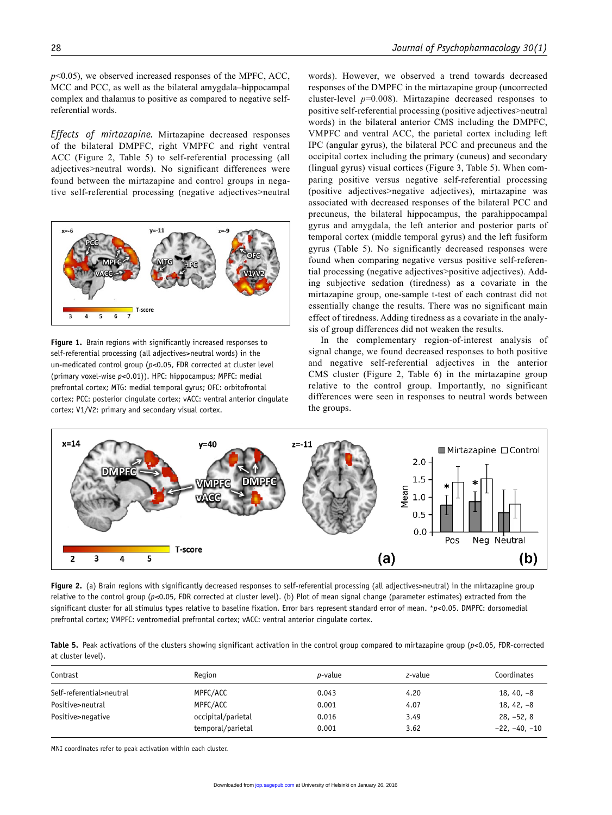*p*<0.05), we observed increased responses of the MPFC, ACC, MCC and PCC, as well as the bilateral amygdala–hippocampal complex and thalamus to positive as compared to negative selfreferential words.

*Effects of mirtazapine.* Mirtazapine decreased responses of the bilateral DMPFC, right VMPFC and right ventral ACC (Figure 2, Table 5) to self-referential processing (all adjectives>neutral words). No significant differences were found between the mirtazapine and control groups in negative self-referential processing (negative adjectives>neutral



**Figure 1.** Brain regions with significantly increased responses to self-referential processing (all adjectives>neutral words) in the un-medicated control group (*p*<0.05, FDR corrected at cluster level (primary voxel-wise *p*<0.01)). HPC: hippocampus; MPFC: medial prefrontal cortex; MTG: medial temporal gyrus; OFC: orbitofrontal cortex; PCC: posterior cingulate cortex; vACC: ventral anterior cingulate cortex; V1/V2: primary and secondary visual cortex.

words). However, we observed a trend towards decreased responses of the DMPFC in the mirtazapine group (uncorrected cluster-level *p*=0.008). Mirtazapine decreased responses to positive self-referential processing (positive adjectives>neutral words) in the bilateral anterior CMS including the DMPFC, VMPFC and ventral ACC, the parietal cortex including left IPC (angular gyrus), the bilateral PCC and precuneus and the occipital cortex including the primary (cuneus) and secondary (lingual gyrus) visual cortices (Figure 3, Table 5). When comparing positive versus negative self-referential processing (positive adjectives>negative adjectives), mirtazapine was associated with decreased responses of the bilateral PCC and precuneus, the bilateral hippocampus, the parahippocampal gyrus and amygdala, the left anterior and posterior parts of temporal cortex (middle temporal gyrus) and the left fusiform gyrus (Table 5). No significantly decreased responses were found when comparing negative versus positive self-referential processing (negative adjectives>positive adjectives). Adding subjective sedation (tiredness) as a covariate in the mirtazapine group, one-sample t-test of each contrast did not essentially change the results. There was no significant main effect of tiredness. Adding tiredness as a covariate in the analysis of group differences did not weaken the results.

In the complementary region-of-interest analysis of signal change, we found decreased responses to both positive and negative self-referential adjectives in the anterior CMS cluster (Figure 2, Table 6) in the mirtazapine group relative to the control group. Importantly, no significant differences were seen in responses to neutral words between the groups.



**Figure 2.** (a) Brain regions with significantly decreased responses to self-referential processing (all adjectives>neutral) in the mirtazapine group relative to the control group (*p*<0.05, FDR corrected at cluster level). (b) Plot of mean signal change (parameter estimates) extracted from the significant cluster for all stimulus types relative to baseline fixation. Error bars represent standard error of mean. \**p*<0.05. DMPFC: dorsomedial prefrontal cortex; VMPFC: ventromedial prefrontal cortex; vACC: ventral anterior cingulate cortex.

**Table 5.** Peak activations of the clusters showing significant activation in the control group compared to mirtazapine group (*p*<0.05, FDR-corrected at cluster level).

| Contrast                 | Region             | <i>p</i> -value | z-value | Coordinates     |
|--------------------------|--------------------|-----------------|---------|-----------------|
| Self-referential>neutral | MPFC/ACC           | 0.043           | 4.20    | $18, 40, -8$    |
| Positive>neutral         | MPFC/ACC           | 0.001           | 4.07    | $18, 42, -8$    |
| Positive>negative        | occipital/parietal | 0.016           | 3.49    | $28, -52, 8$    |
|                          | temporal/parietal  | 0.001           | 3.62    | $-22, -40, -10$ |

MNI coordinates refer to peak activation within each cluster.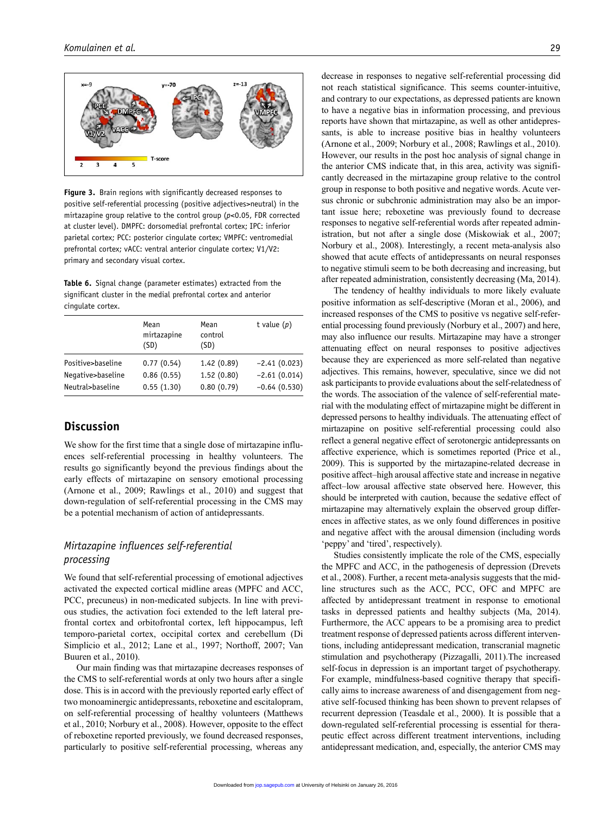

**Figure 3.** Brain regions with significantly decreased responses to positive self-referential processing (positive adjectives>neutral) in the mirtazapine group relative to the control group (*p*<0.05, FDR corrected at cluster level). DMPFC: dorsomedial prefrontal cortex; IPC: inferior parietal cortex; PCC: posterior cingulate cortex; VMPFC: ventromedial prefrontal cortex; vACC: ventral anterior cingulate cortex; V1/V2: primary and secondary visual cortex.

**Table 6.** Signal change (parameter estimates) extracted from the significant cluster in the medial prefrontal cortex and anterior cingulate cortex.

|                   | Mean<br>mirtazapine<br>(SD) | Mean<br>control<br>(SD) | t value $(p)$  |
|-------------------|-----------------------------|-------------------------|----------------|
| Positive>baseline | 0.77(0.54)                  | 1.42(0.89)              | $-2.41(0.023)$ |
| Negative>baseline | 0.86(0.55)                  | 1.52(0.80)              | $-2.61(0.014)$ |
| Neutral>baseline  | 0.55(1.30)                  | 0.80(0.79)              | $-0.64(0.530)$ |

# **Discussion**

We show for the first time that a single dose of mirtazapine influences self-referential processing in healthy volunteers. The results go significantly beyond the previous findings about the early effects of mirtazapine on sensory emotional processing (Arnone et al., 2009; Rawlings et al., 2010) and suggest that down-regulation of self-referential processing in the CMS may be a potential mechanism of action of antidepressants.

# *Mirtazapine influences self-referential processing*

We found that self-referential processing of emotional adjectives activated the expected cortical midline areas (MPFC and ACC, PCC, precuneus) in non-medicated subjects. In line with previous studies, the activation foci extended to the left lateral prefrontal cortex and orbitofrontal cortex, left hippocampus, left temporo-parietal cortex, occipital cortex and cerebellum (Di Simplicio et al., 2012; Lane et al., 1997; Northoff, 2007; Van Buuren et al., 2010).

Our main finding was that mirtazapine decreases responses of the CMS to self-referential words at only two hours after a single dose. This is in accord with the previously reported early effect of two monoaminergic antidepressants, reboxetine and escitalopram, on self-referential processing of healthy volunteers (Matthews et al., 2010; Norbury et al., 2008). However, opposite to the effect of reboxetine reported previously, we found decreased responses, particularly to positive self-referential processing, whereas any

decrease in responses to negative self-referential processing did not reach statistical significance. This seems counter-intuitive, and contrary to our expectations, as depressed patients are known to have a negative bias in information processing, and previous reports have shown that mirtazapine, as well as other antidepressants, is able to increase positive bias in healthy volunteers (Arnone et al., 2009; Norbury et al., 2008; Rawlings et al., 2010). However, our results in the post hoc analysis of signal change in the anterior CMS indicate that, in this area, activity was significantly decreased in the mirtazapine group relative to the control group in response to both positive and negative words. Acute versus chronic or subchronic administration may also be an important issue here; reboxetine was previously found to decrease responses to negative self-referential words after repeated administration, but not after a single dose (Miskowiak et al., 2007; Norbury et al., 2008). Interestingly, a recent meta-analysis also showed that acute effects of antidepressants on neural responses to negative stimuli seem to be both decreasing and increasing, but after repeated administration, consistently decreasing (Ma, 2014).

The tendency of healthy individuals to more likely evaluate positive information as self-descriptive (Moran et al., 2006), and increased responses of the CMS to positive vs negative self-referential processing found previously (Norbury et al., 2007) and here, may also influence our results. Mirtazapine may have a stronger attenuating effect on neural responses to positive adjectives because they are experienced as more self-related than negative adjectives. This remains, however, speculative, since we did not ask participants to provide evaluations about the self-relatedness of the words. The association of the valence of self-referential material with the modulating effect of mirtazapine might be different in depressed persons to healthy individuals. The attenuating effect of mirtazapine on positive self-referential processing could also reflect a general negative effect of serotonergic antidepressants on affective experience, which is sometimes reported (Price et al., 2009). This is supported by the mirtazapine-related decrease in positive affect–high arousal affective state and increase in negative affect–low arousal affective state observed here. However, this should be interpreted with caution, because the sedative effect of mirtazapine may alternatively explain the observed group differences in affective states, as we only found differences in positive and negative affect with the arousal dimension (including words 'peppy' and 'tired', respectively).

Studies consistently implicate the role of the CMS, especially the MPFC and ACC, in the pathogenesis of depression (Drevets et al., 2008). Further, a recent meta-analysis suggests that the midline structures such as the ACC, PCC, OFC and MPFC are affected by antidepressant treatment in response to emotional tasks in depressed patients and healthy subjects (Ma, 2014). Furthermore, the ACC appears to be a promising area to predict treatment response of depressed patients across different interventions, including antidepressant medication, transcranial magnetic stimulation and psychotherapy (Pizzagalli, 2011).The increased self-focus in depression is an important target of psychotherapy. For example, mindfulness-based cognitive therapy that specifically aims to increase awareness of and disengagement from negative self-focused thinking has been shown to prevent relapses of recurrent depression (Teasdale et al., 2000). It is possible that a down-regulated self-referential processing is essential for therapeutic effect across different treatment interventions, including antidepressant medication, and, especially, the anterior CMS may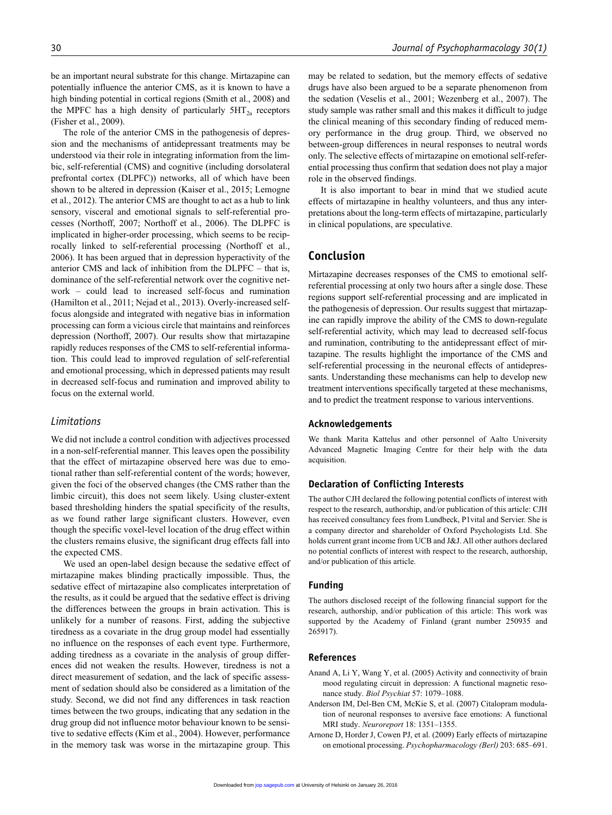be an important neural substrate for this change. Mirtazapine can potentially influence the anterior CMS, as it is known to have a high binding potential in cortical regions (Smith et al., 2008) and the MPFC has a high density of particularly  $5HT_{2a}$  receptors (Fisher et al., 2009).

The role of the anterior CMS in the pathogenesis of depression and the mechanisms of antidepressant treatments may be understood via their role in integrating information from the limbic, self-referential (CMS) and cognitive (including dorsolateral prefrontal cortex (DLPFC)) networks, all of which have been shown to be altered in depression (Kaiser et al., 2015; Lemogne et al., 2012). The anterior CMS are thought to act as a hub to link sensory, visceral and emotional signals to self-referential processes (Northoff, 2007; Northoff et al., 2006). The DLPFC is implicated in higher-order processing, which seems to be reciprocally linked to self-referential processing (Northoff et al., 2006). It has been argued that in depression hyperactivity of the anterior CMS and lack of inhibition from the DLPFC – that is, dominance of the self-referential network over the cognitive network – could lead to increased self-focus and rumination (Hamilton et al., 2011; Nejad et al., 2013). Overly-increased selffocus alongside and integrated with negative bias in information processing can form a vicious circle that maintains and reinforces depression (Northoff, 2007). Our results show that mirtazapine rapidly reduces responses of the CMS to self-referential information. This could lead to improved regulation of self-referential and emotional processing, which in depressed patients may result in decreased self-focus and rumination and improved ability to focus on the external world.

#### *Limitations*

We did not include a control condition with adjectives processed in a non-self-referential manner. This leaves open the possibility that the effect of mirtazapine observed here was due to emotional rather than self-referential content of the words; however, given the foci of the observed changes (the CMS rather than the limbic circuit), this does not seem likely. Using cluster-extent based thresholding hinders the spatial specificity of the results, as we found rather large significant clusters. However, even though the specific voxel-level location of the drug effect within the clusters remains elusive, the significant drug effects fall into the expected CMS.

We used an open-label design because the sedative effect of mirtazapine makes blinding practically impossible. Thus, the sedative effect of mirtazapine also complicates interpretation of the results, as it could be argued that the sedative effect is driving the differences between the groups in brain activation. This is unlikely for a number of reasons. First, adding the subjective tiredness as a covariate in the drug group model had essentially no influence on the responses of each event type. Furthermore, adding tiredness as a covariate in the analysis of group differences did not weaken the results. However, tiredness is not a direct measurement of sedation, and the lack of specific assessment of sedation should also be considered as a limitation of the study. Second, we did not find any differences in task reaction times between the two groups, indicating that any sedation in the drug group did not influence motor behaviour known to be sensitive to sedative effects (Kim et al., 2004). However, performance in the memory task was worse in the mirtazapine group. This

may be related to sedation, but the memory effects of sedative drugs have also been argued to be a separate phenomenon from the sedation (Veselis et al., 2001; Wezenberg et al., 2007). The study sample was rather small and this makes it difficult to judge the clinical meaning of this secondary finding of reduced memory performance in the drug group. Third, we observed no between-group differences in neural responses to neutral words only. The selective effects of mirtazapine on emotional self-referential processing thus confirm that sedation does not play a major role in the observed findings.

It is also important to bear in mind that we studied acute effects of mirtazapine in healthy volunteers, and thus any interpretations about the long-term effects of mirtazapine, particularly in clinical populations, are speculative.

# **Conclusion**

Mirtazapine decreases responses of the CMS to emotional selfreferential processing at only two hours after a single dose. These regions support self-referential processing and are implicated in the pathogenesis of depression. Our results suggest that mirtazapine can rapidly improve the ability of the CMS to down-regulate self-referential activity, which may lead to decreased self-focus and rumination, contributing to the antidepressant effect of mirtazapine. The results highlight the importance of the CMS and self-referential processing in the neuronal effects of antidepressants. Understanding these mechanisms can help to develop new treatment interventions specifically targeted at these mechanisms, and to predict the treatment response to various interventions.

#### **Acknowledgements**

We thank Marita Kattelus and other personnel of Aalto University Advanced Magnetic Imaging Centre for their help with the data acquisition.

#### **Declaration of Conflicting Interests**

The author CJH declared the following potential conflicts of interest with respect to the research, authorship, and/or publication of this article: CJH has received consultancy fees from Lundbeck, P1vital and Servier. She is a company director and shareholder of Oxford Psychologists Ltd. She holds current grant income from UCB and J&J. All other authors declared no potential conflicts of interest with respect to the research, authorship, and/or publication of this article.

#### **Funding**

The authors disclosed receipt of the following financial support for the research, authorship, and/or publication of this article: This work was supported by the Academy of Finland (grant number 250935 and 265917).

#### **References**

- Anand A, Li Y, Wang Y, et al. (2005) Activity and connectivity of brain mood regulating circuit in depression: A functional magnetic resonance study. *Biol Psychiat* 57: 1079–1088.
- Anderson IM, Del-Ben CM, McKie S, et al. (2007) Citalopram modulation of neuronal responses to aversive face emotions: A functional MRI study. *Neuroreport* 18: 1351–1355.
- Arnone D, Horder J, Cowen PJ, et al. (2009) Early effects of mirtazapine on emotional processing. *Psychopharmacology (Berl)* 203: 685–691.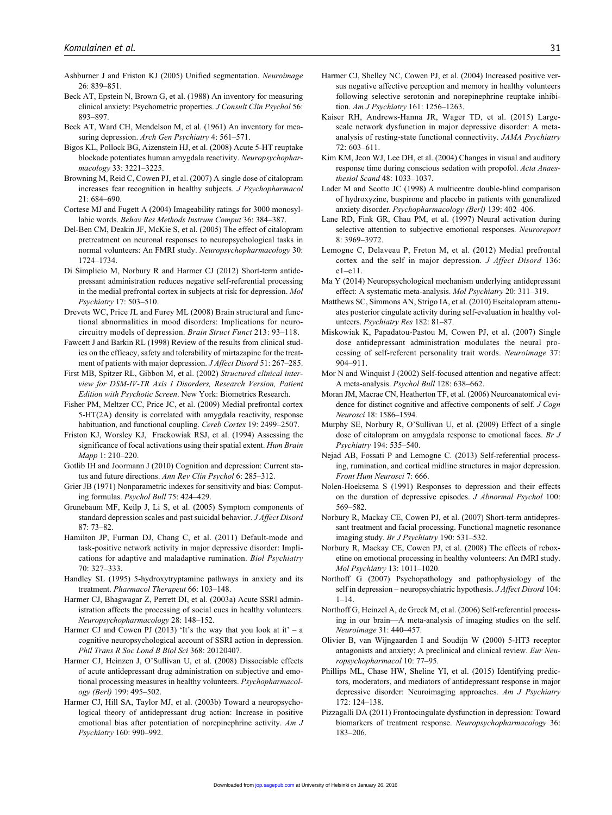- Ashburner J and Friston KJ (2005) Unified segmentation. *Neuroimage* 26: 839–851.
- Beck AT, Epstein N, Brown G, et al. (1988) An inventory for measuring clinical anxiety: Psychometric properties. *J Consult Clin Psychol* 56: 893–897.
- Beck AT, Ward CH, Mendelson M, et al. (1961) An inventory for measuring depression. *Arch Gen Psychiatry* 4: 561–571.
- Bigos KL, Pollock BG, Aizenstein HJ, et al. (2008) Acute 5-HT reuptake blockade potentiates human amygdala reactivity. *Neuropsychopharmacology* 33: 3221–3225.
- Browning M, Reid C, Cowen PJ, et al. (2007) A single dose of citalopram increases fear recognition in healthy subjects. *J Psychopharmacol* 21: 684–690.
- Cortese MJ and Fugett A (2004) Imageability ratings for 3000 monosyllabic words. *Behav Res Methods Instrum Comput* 36: 384–387.
- Del-Ben CM, Deakin JF, McKie S, et al. (2005) The effect of citalopram pretreatment on neuronal responses to neuropsychological tasks in normal volunteers: An FMRI study. *Neuropsychopharmacology* 30: 1724–1734.
- Di Simplicio M, Norbury R and Harmer CJ (2012) Short-term antidepressant administration reduces negative self-referential processing in the medial prefrontal cortex in subjects at risk for depression. *Mol Psychiatry* 17: 503–510.
- Drevets WC, Price JL and Furey ML (2008) Brain structural and functional abnormalities in mood disorders: Implications for neurocircuitry models of depression. *Brain Struct Funct* 213: 93–118.
- Fawcett J and Barkin RL (1998) Review of the results from clinical studies on the efficacy, safety and tolerability of mirtazapine for the treatment of patients with major depression. *J Affect Disord* 51: 267–285.
- First MB, Spitzer RL, Gibbon M, et al. (2002) *Structured clinical interview for DSM-IV-TR Axis I Disorders, Research Version, Patient Edition with Psychotic Screen*. New York: Biometrics Research.
- Fisher PM, Meltzer CC, Price JC, et al. (2009) Medial prefrontal cortex 5-HT(2A) density is correlated with amygdala reactivity, response habituation, and functional coupling. *Cereb Cortex* 19: 2499–2507.
- Friston KJ, Worsley KJ, Frackowiak RSJ, et al. (1994) Assessing the significance of focal activations using their spatial extent. *Hum Brain Mapp* 1: 210–220.
- Gotlib IH and Joormann J (2010) Cognition and depression: Current status and future directions. *Ann Rev Clin Psychol* 6: 285–312.
- Grier JB (1971) Nonparametric indexes for sensitivity and bias: Computing formulas. *Psychol Bull* 75: 424–429.
- Grunebaum MF, Keilp J, Li S, et al. (2005) Symptom components of standard depression scales and past suicidal behavior. *J Affect Disord* 87: 73–82.
- Hamilton JP, Furman DJ, Chang C, et al. (2011) Default-mode and task-positive network activity in major depressive disorder: Implications for adaptive and maladaptive rumination. *Biol Psychiatry* 70: 327–333.
- Handley SL (1995) 5-hydroxytryptamine pathways in anxiety and its treatment. *Pharmacol Therapeut* 66: 103–148.
- Harmer CJ, Bhagwagar Z, Perrett DI, et al. (2003a) Acute SSRI administration affects the processing of social cues in healthy volunteers. *Neuropsychopharmacology* 28: 148–152.
- Harmer CJ and Cowen PJ (2013) 'It's the way that you look at it' a cognitive neuropsychological account of SSRI action in depression. *Phil Trans R Soc Lond B Biol Sci* 368: 20120407.
- Harmer CJ, Heinzen J, O'Sullivan U, et al. (2008) Dissociable effects of acute antidepressant drug administration on subjective and emotional processing measures in healthy volunteers. *Psychopharmacology (Berl)* 199: 495–502.
- Harmer CJ, Hill SA, Taylor MJ, et al. (2003b) Toward a neuropsychological theory of antidepressant drug action: Increase in positive emotional bias after potentiation of norepinephrine activity. *Am J Psychiatry* 160: 990–992.
- Harmer CJ, Shelley NC, Cowen PJ, et al. (2004) Increased positive versus negative affective perception and memory in healthy volunteers following selective serotonin and norepinephrine reuptake inhibition. *Am J Psychiatry* 161: 1256–1263.
- Kaiser RH, Andrews-Hanna JR, Wager TD, et al. (2015) Largescale network dysfunction in major depressive disorder: A metaanalysis of resting-state functional connectivity. *JAMA Psychiatry*  $72:603-611$
- Kim KM, Jeon WJ, Lee DH, et al. (2004) Changes in visual and auditory response time during conscious sedation with propofol. *Acta Anaesthesiol Scand* 48: 1033–1037.
- Lader M and Scotto JC (1998) A multicentre double-blind comparison of hydroxyzine, buspirone and placebo in patients with generalized anxiety disorder. *Psychopharmacology (Berl)* 139: 402–406.
- Lane RD, Fink GR, Chau PM, et al. (1997) Neural activation during selective attention to subjective emotional responses. *Neuroreport* 8: 3969–3972.
- Lemogne C, Delaveau P, Freton M, et al. (2012) Medial prefrontal cortex and the self in major depression. *J Affect Disord* 136: e1–e11.
- Ma Y (2014) Neuropsychological mechanism underlying antidepressant effect: A systematic meta-analysis. *Mol Psychiatry* 20: 311–319.
- Matthews SC, Simmons AN, Strigo IA, et al. (2010) Escitalopram attenuates posterior cingulate activity during self-evaluation in healthy volunteers. *Psychiatry Res* 182: 81–87.
- Miskowiak K, Papadatou-Pastou M, Cowen PJ, et al. (2007) Single dose antidepressant administration modulates the neural processing of self-referent personality trait words. *Neuroimage* 37: 904–911.
- Mor N and Winquist J (2002) Self-focused attention and negative affect: A meta-analysis. *Psychol Bull* 128: 638–662.
- Moran JM, Macrae CN, Heatherton TF, et al. (2006) Neuroanatomical evidence for distinct cognitive and affective components of self. *J Cogn Neurosci* 18: 1586–1594.
- Murphy SE, Norbury R, O'Sullivan U, et al. (2009) Effect of a single dose of citalopram on amygdala response to emotional faces. *Br J Psychiatry* 194: 535–540.
- Nejad AB, Fossati P and Lemogne C. (2013) Self-referential processing, rumination, and cortical midline structures in major depression. *Front Hum Neurosci* 7: 666.
- Nolen-Hoeksema S (1991) Responses to depression and their effects on the duration of depressive episodes. *J Abnormal Psychol* 100: 569–582.
- Norbury R, Mackay CE, Cowen PJ, et al. (2007) Short-term antidepressant treatment and facial processing. Functional magnetic resonance imaging study. *Br J Psychiatry* 190: 531–532.
- Norbury R, Mackay CE, Cowen PJ, et al. (2008) The effects of reboxetine on emotional processing in healthy volunteers: An fMRI study. *Mol Psychiatry* 13: 1011–1020.
- Northoff G (2007) Psychopathology and pathophysiology of the self in depression – neuropsychiatric hypothesis. *J Affect Disord* 104:  $1 - 14.$
- Northoff G, Heinzel A, de Greck M, et al. (2006) Self-referential processing in our brain—A meta-analysis of imaging studies on the self. *Neuroimage* 31: 440–457.
- Olivier B, van Wijngaarden I and Soudijn W (2000) 5-HT3 receptor antagonists and anxiety; A preclinical and clinical review. *Eur Neuropsychopharmacol* 10: 77–95.
- Phillips ML, Chase HW, Sheline YI, et al. (2015) Identifying predictors, moderators, and mediators of antidepressant response in major depressive disorder: Neuroimaging approaches. *Am J Psychiatry* 172: 124–138.
- Pizzagalli DA (2011) Frontocingulate dysfunction in depression: Toward biomarkers of treatment response. *Neuropsychopharmacology* 36: 183–206.